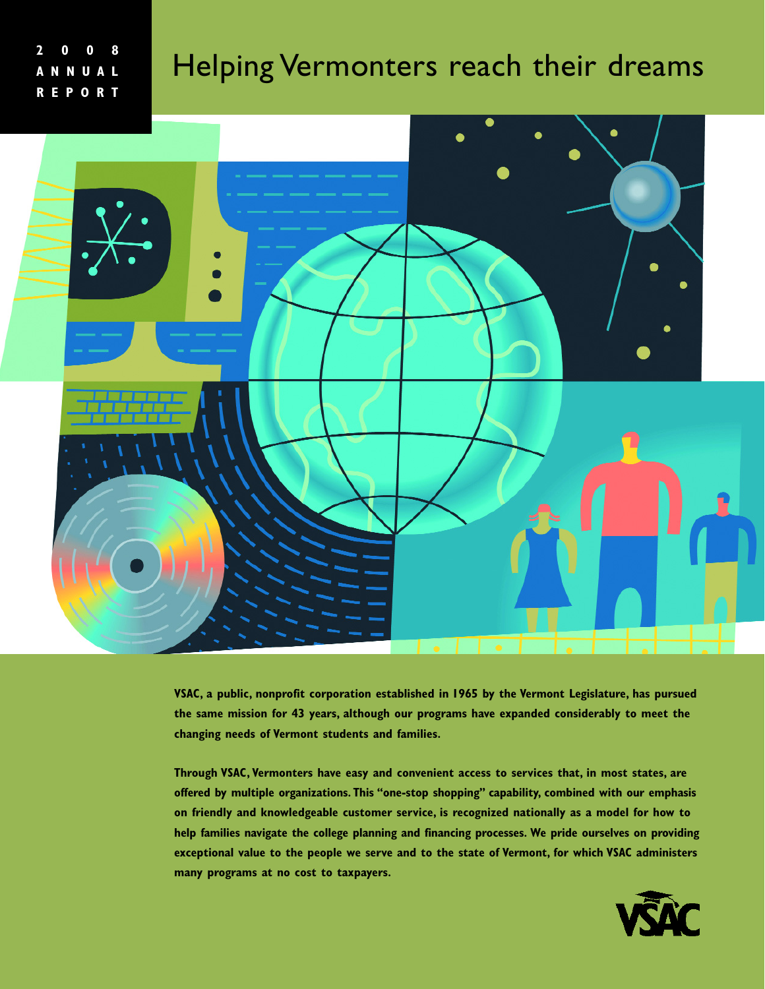# Helping Vermonters reach their dreams

**2008 ANNUAL**



**VSAC, a public, nonprofit corporation established in 1965 by the Vermont Legislature, has pursued the same mission for 43 years, although our programs have expanded considerably to meet the changing needs of Vermont students and families.**

**Through VSAC,Vermonters have easy and convenient access to services that, in most states, are offered by multiple organizations.This "one-stop shopping" capability, combined with our emphasis on friendly and knowledgeable customer service, is recognized nationally as a model for how to help families navigate the college planning and financing processes. We pride ourselves on providing exceptional value to the people we serve and to the state of Vermont, for which VSAC administers many programs at no cost to taxpayers.**

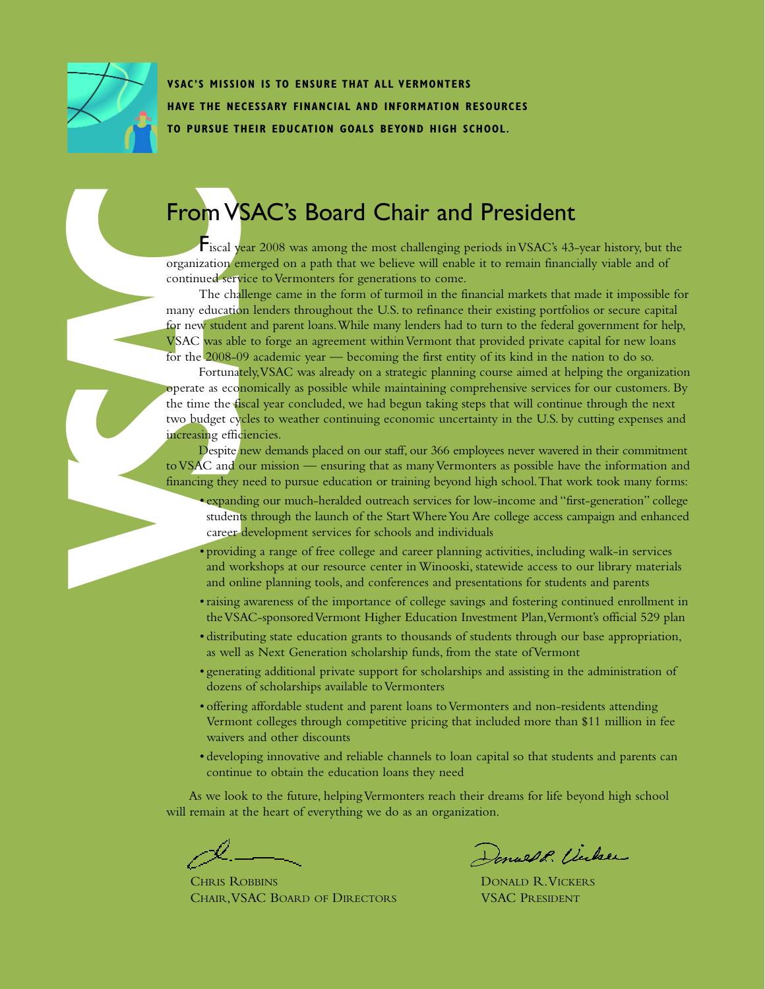

**VSAC'S MISSION IS TO ENSURE THAT ALL VERMONTERS HAVE THE NECESSARY FINANCIAL AND INFORMATION RESOURCES TO PURSUE THEIR EDUCATION GOALS BEYOND HIGH SCHOOL.**

organization emerged on a path that we believe will enable it to remain financially viable and of continued service to Vermonters for generations to come.

The challenge came in the form of turmoil in the financial markets that made it impossible for many education lenders throughout the U.S. to refinance their existing portfolios or secure capital for new student and parent loans.While many lenders had to turn to the federal government for help, VSAC was able to forge an agreement within Vermont that provided private capital for new loans for the 2008-09 academic year — becoming the first entity of its kind in the nation to do so.

**From VSAC's Board Chair and President**<br>
Facal year 2008 was among the most challenging periods in VSAC's 43-year history, but the organization emerged on a path that we believe will emakle it to remain financially viable Fortunately,VSAC was already on a strategic planning course aimed at helping the organization operate as economically as possible while maintaining comprehensive services for our customers. By the time the fiscal year concluded, we had begun taking steps that will continue through the next two budget cycles to weather continuing economic uncertainty in the U.S. by cutting expenses and increasing efficiencies.

Despite new demands placed on our staff, our 366 employees never wavered in their commitment to VSAC and our mission — ensuring that as many Vermonters as possible have the information and financing they need to pursue education or training beyond high school.That work took many forms:

- expanding our much-heralded outreach services for low-income and "first-generation" college students through the launch of the Start Where You Are college access campaign and enhanced career development services for schools and individuals
- providing a range of free college and career planning activities, including walk-in services and workshops at our resource center in Winooski, statewide access to our library materials and online planning tools, and conferences and presentations for students and parents
- raising awareness of the importance of college savings and fostering continued enrollment in the VSAC-sponsored Vermont Higher Education Investment Plan,Vermont's official 529 plan
- distributing state education grants to thousands of students through our base appropriation, as well as Next Generation scholarship funds, from the state of Vermont
- generating additional private support for scholarships and assisting in the administration of dozens of scholarships available to Vermonters
- offering affordable student and parent loans to Vermonters and non-residents attending Vermont colleges through competitive pricing that included more than \$11 million in fee waivers and other discounts
- developing innovative and reliable channels to loan capital so that students and parents can continue to obtain the education loans they need

As we look to the future, helping Vermonters reach their dreams for life beyond high school will remain at the heart of everything we do as an organization.

**CHRIS ROBBINS** DONALD R.VICKERS CHAIR, VSAC BOARD OF DIRECTORS VSAC PRESIDENT

Denwesk Vicker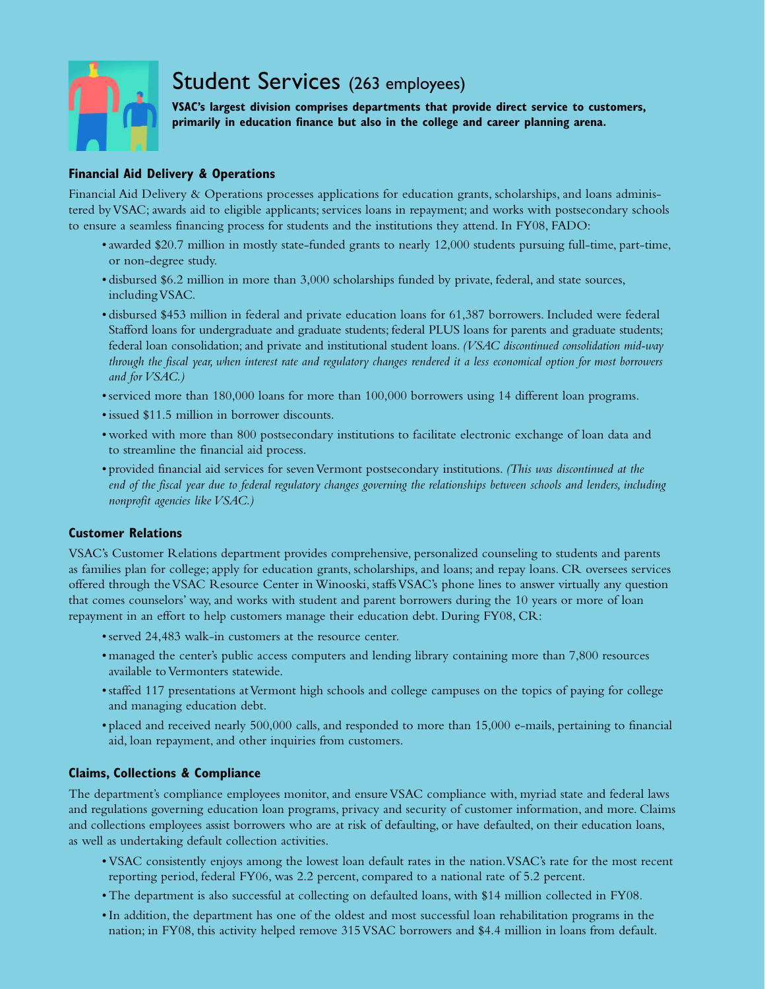

### Student Services (263 employees)

**VSAC's largest division comprises departments that provide direct service to customers, primarily in education finance but also in the college and career planning arena.**

#### **Financial Aid Delivery & Operations**

Financial Aid Delivery & Operations processes applications for education grants, scholarships, and loans administered by VSAC; awards aid to eligible applicants; services loans in repayment; and works with postsecondary schools to ensure a seamless financing process for students and the institutions they attend. In FY08, FADO:

- awarded \$20.7 million in mostly state-funded grants to nearly 12,000 students pursuing full-time, part-time, or non-degree study.
- disbursed \$6.2 million in more than 3,000 scholarships funded by private, federal, and state sources, including VSAC.
- disbursed \$453 million in federal and private education loans for 61,387 borrowers. Included were federal Stafford loans for undergraduate and graduate students; federal PLUS loans for parents and graduate students; federal loan consolidation; and private and institutional student loans. *(VSAC discontinued consolidation mid-way through the fiscal year, when interest rate and regulatory changes rendered it a less economical option for most borrowers and for VSAC.)*
- serviced more than 180,000 loans for more than 100,000 borrowers using 14 different loan programs.
- issued \$11.5 million in borrower discounts.
- worked with more than 800 postsecondary institutions to facilitate electronic exchange of loan data and to streamline the financial aid process.
- provided financial aid services for seven Vermont postsecondary institutions. *(This was discontinued at the end of the fiscal year due to federal regulatory changes governing the relationships between schools and lenders, including nonprofit agencies like VSAC.)*

#### **Customer Relations**

VSAC's Customer Relations department provides comprehensive, personalized counseling to students and parents as families plan for college; apply for education grants, scholarships, and loans; and repay loans. CR oversees services offered through the VSAC Resource Center in Winooski, staffs VSAC's phone lines to answer virtually any question that comes counselors' way, and works with student and parent borrowers during the 10 years or more of loan repayment in an effort to help customers manage their education debt. During FY08, CR:

- served 24,483 walk-in customers at the resource center.
- managed the center's public access computers and lending library containing more than 7,800 resources available to Vermonters statewide.
- staffed 117 presentations at Vermont high schools and college campuses on the topics of paying for college and managing education debt.
- placed and received nearly 500,000 calls, and responded to more than 15,000 e-mails, pertaining to financial aid, loan repayment, and other inquiries from customers.

#### **Claims, Collections & Compliance**

The department's compliance employees monitor, and ensure VSAC compliance with, myriad state and federal laws and regulations governing education loan programs, privacy and security of customer information, and more. Claims and collections employees assist borrowers who are at risk of defaulting, or have defaulted, on their education loans, as well as undertaking default collection activities.

- VSAC consistently enjoys among the lowest loan default rates in the nation.VSAC's rate for the most recent reporting period, federal FY06, was 2.2 percent, compared to a national rate of 5.2 percent.
- The department is also successful at collecting on defaulted loans, with \$14 million collected in FY08.
- In addition, the department has one of the oldest and most successful loan rehabilitation programs in the nation; in FY08, this activity helped remove 315 VSAC borrowers and \$4.4 million in loans from default.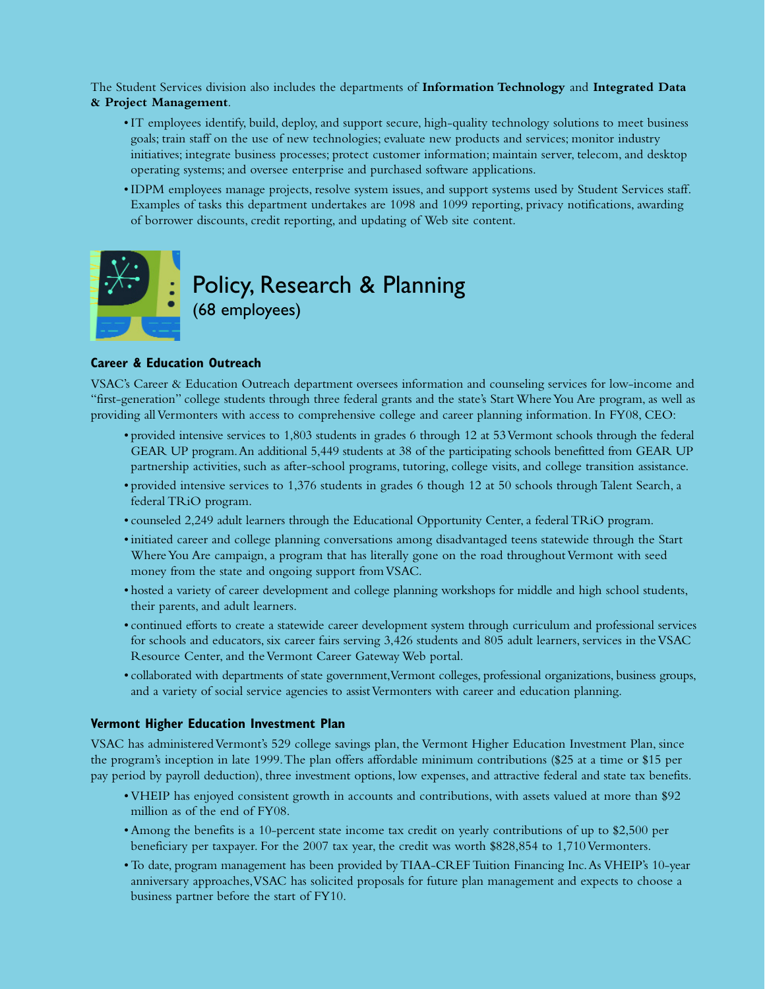The Student Services division also includes the departments of **Information Technology** and **Integrated Data & Project Management**.

- IT employees identify, build, deploy, and support secure, high-quality technology solutions to meet business goals; train staff on the use of new technologies; evaluate new products and services; monitor industry initiatives; integrate business processes; protect customer information; maintain server, telecom, and desktop operating systems; and oversee enterprise and purchased software applications.
- IDPM employees manage projects, resolve system issues, and support systems used by Student Services staff. Examples of tasks this department undertakes are 1098 and 1099 reporting, privacy notifications, awarding of borrower discounts, credit reporting, and updating of Web site content.



### **Career & Education Outreach**

VSAC's Career & Education Outreach department oversees information and counseling services for low-income and "first-generation" college students through three federal grants and the state's Start Where You Are program, as well as providing all Vermonters with access to comprehensive college and career planning information. In FY08, CEO:

- provided intensive services to 1,803 students in grades 6 through 12 at 53 Vermont schools through the federal GEAR UP program.An additional 5,449 students at 38 of the participating schools benefitted from GEAR UP partnership activities, such as after-school programs, tutoring, college visits, and college transition assistance.
- provided intensive services to 1,376 students in grades 6 though 12 at 50 schools through Talent Search, a federal TRiO program.
- counseled 2,249 adult learners through the Educational Opportunity Center, a federal TRiO program.
- initiated career and college planning conversations among disadvantaged teens statewide through the Start Where You Are campaign, a program that has literally gone on the road throughout Vermont with seed money from the state and ongoing support from VSAC.
- hosted a variety of career development and college planning workshops for middle and high school students, their parents, and adult learners.
- continued efforts to create a statewide career development system through curriculum and professional services for schools and educators, six career fairs serving 3,426 students and 805 adult learners, services in the VSAC Resource Center, and the Vermont Career Gateway Web portal.
- collaborated with departments of state government,Vermont colleges, professional organizations, business groups, and a variety of social service agencies to assist Vermonters with career and education planning.

#### **Vermont Higher Education Investment Plan**

VSAC has administered Vermont's 529 college savings plan, the Vermont Higher Education Investment Plan, since the program's inception in late 1999.The plan offers affordable minimum contributions (\$25 at a time or \$15 per pay period by payroll deduction), three investment options, low expenses, and attractive federal and state tax benefits.

- VHEIP has enjoyed consistent growth in accounts and contributions, with assets valued at more than \$92 million as of the end of FY08.
- Among the benefits is a 10-percent state income tax credit on yearly contributions of up to \$2,500 per beneficiary per taxpayer. For the 2007 tax year, the credit was worth \$828,854 to 1,710 Vermonters.
- To date, program management has been provided by TIAA-CREF Tuition Financing Inc.As VHEIP's 10-year anniversary approaches,VSAC has solicited proposals for future plan management and expects to choose a business partner before the start of FY10.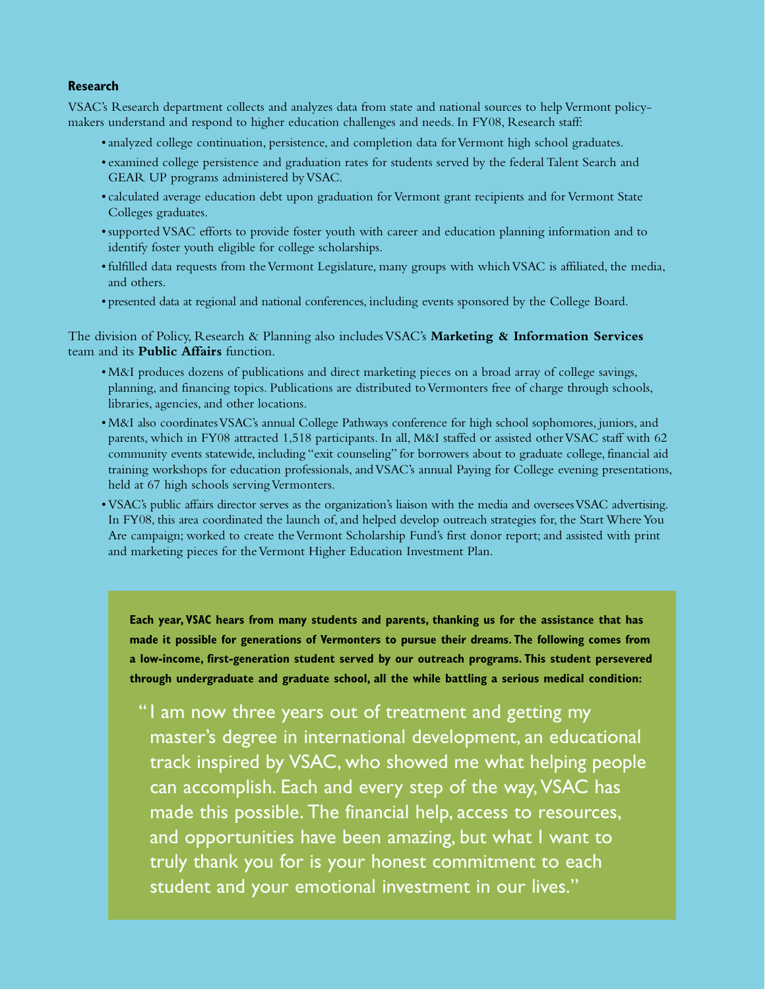#### **Research**

VSAC's Research department collects and analyzes data from state and national sources to help Vermont policymakers understand and respond to higher education challenges and needs. In FY08, Research staff:

- analyzed college continuation, persistence, and completion data for Vermont high school graduates.
- examined college persistence and graduation rates for students served by the federal Talent Search and GEAR UP programs administered by VSAC.
- calculated average education debt upon graduation for Vermont grant recipients and for Vermont State Colleges graduates.
- supported VSAC efforts to provide foster youth with career and education planning information and to identify foster youth eligible for college scholarships.
- fulfilled data requests from the Vermont Legislature, many groups with which VSAC is affiliated, the media, and others.
- presented data at regional and national conferences, including events sponsored by the College Board.

The division of Policy, Research & Planning also includes VSAC's **Marketing & Information Services** team and its **Public Affairs** function.

- M&I produces dozens of publications and direct marketing pieces on a broad array of college savings, planning, and financing topics. Publications are distributed to Vermonters free of charge through schools, libraries, agencies, and other locations.
- M&I also coordinates VSAC's annual College Pathways conference for high school sophomores, juniors, and parents, which in FY08 attracted 1,518 participants. In all, M&I staffed or assisted other VSAC staff with 62 community events statewide, including "exit counseling" for borrowers about to graduate college, financial aid training workshops for education professionals, and VSAC's annual Paying for College evening presentations, held at 67 high schools serving Vermonters.
- VSAC's public affairs director serves as the organization's liaison with the media and oversees VSAC advertising. In FY08, this area coordinated the launch of, and helped develop outreach strategies for, the Start Where You Are campaign; worked to create the Vermont Scholarship Fund's first donor report; and assisted with print and marketing pieces for the Vermont Higher Education Investment Plan.

**Each year,VSAC hears from many students and parents, thanking us for the assistance that has made it possible for generations of Vermonters to pursue their dreams. The following comes from a low-income, first-generation student served by our outreach programs. This student persevered through undergraduate and graduate school, all the while battling a serious medical condition:**

"I am now three years out of treatment and getting my master's degree in international development, an educational track inspired by VSAC, who showed me what helping people can accomplish. Each and every step of the way, VSAC has made this possible. The financial help, access to resources, and opportunities have been amazing, but what I want to truly thank you for is your honest commitment to each student and your emotional investment in our lives."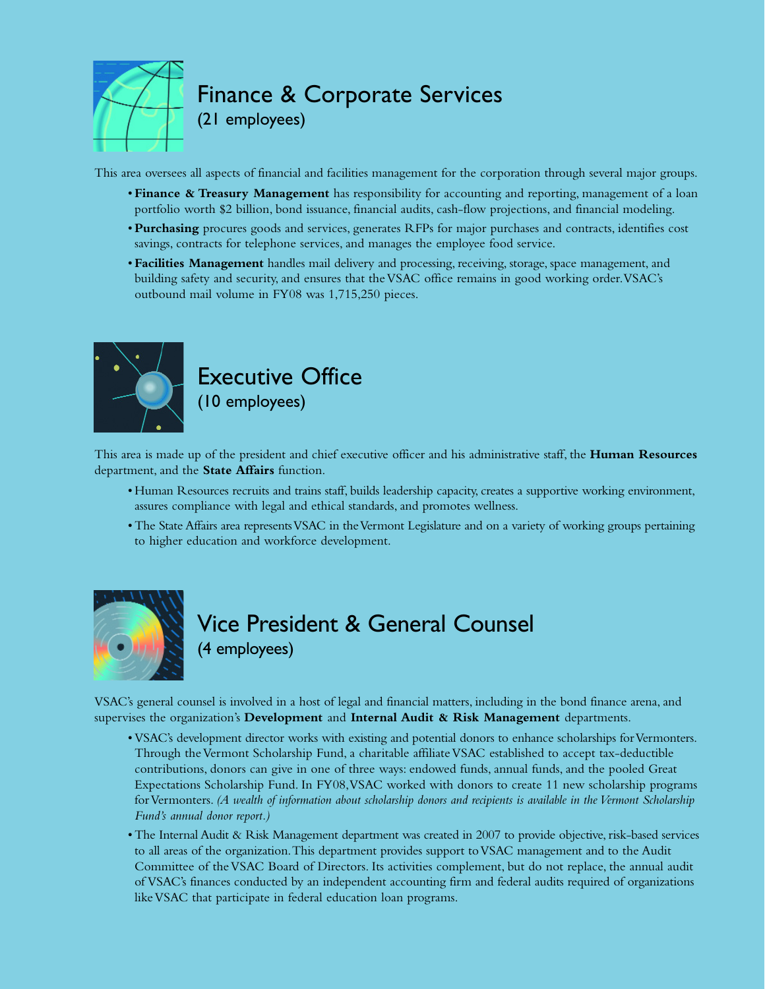

## Finance & Corporate Services

(21 employees)

This area oversees all aspects of financial and facilities management for the corporation through several major groups.

- **Finance & Treasury Management** has responsibility for accounting and reporting, management of a loan portfolio worth \$2 billion, bond issuance, financial audits, cash-flow projections, and financial modeling.
- **Purchasing** procures goods and services, generates RFPs for major purchases and contracts, identifies cost savings, contracts for telephone services, and manages the employee food service.
- **Facilities Management** handles mail delivery and processing, receiving, storage, space management, and building safety and security, and ensures that the VSAC office remains in good working order.VSAC's outbound mail volume in FY08 was 1,715,250 pieces.



### Executive Office (10 employees)

This area is made up of the president and chief executive officer and his administrative staff, the **Human Resources** department, and the **State Affairs** function.

- Human Resources recruits and trains staff, builds leadership capacity, creates a supportive working environment, assures compliance with legal and ethical standards, and promotes wellness.
- The State Affairs area represents VSAC in the Vermont Legislature and on a variety of working groups pertaining to higher education and workforce development.



# Vice President & General Counsel

(4 employees)

VSAC's general counsel is involved in a host of legal and financial matters, including in the bond finance arena, and supervises the organization's **Development** and **Internal Audit & Risk Management** departments.

- VSAC's development director works with existing and potential donors to enhance scholarships for Vermonters. Through the Vermont Scholarship Fund, a charitable affiliate VSAC established to accept tax-deductible contributions, donors can give in one of three ways: endowed funds, annual funds, and the pooled Great Expectations Scholarship Fund. In FY08,VSAC worked with donors to create 11 new scholarship programs for Vermonters. *(A wealth of information about scholarship donors and recipients is available in the Vermont Scholarship Fund's annual donor report.)*
- The Internal Audit & Risk Management department was created in 2007 to provide objective, risk-based services to all areas of the organization.This department provides support to VSAC management and to the Audit Committee of the VSAC Board of Directors. Its activities complement, but do not replace, the annual audit of VSAC's finances conducted by an independent accounting firm and federal audits required of organizations like VSAC that participate in federal education loan programs.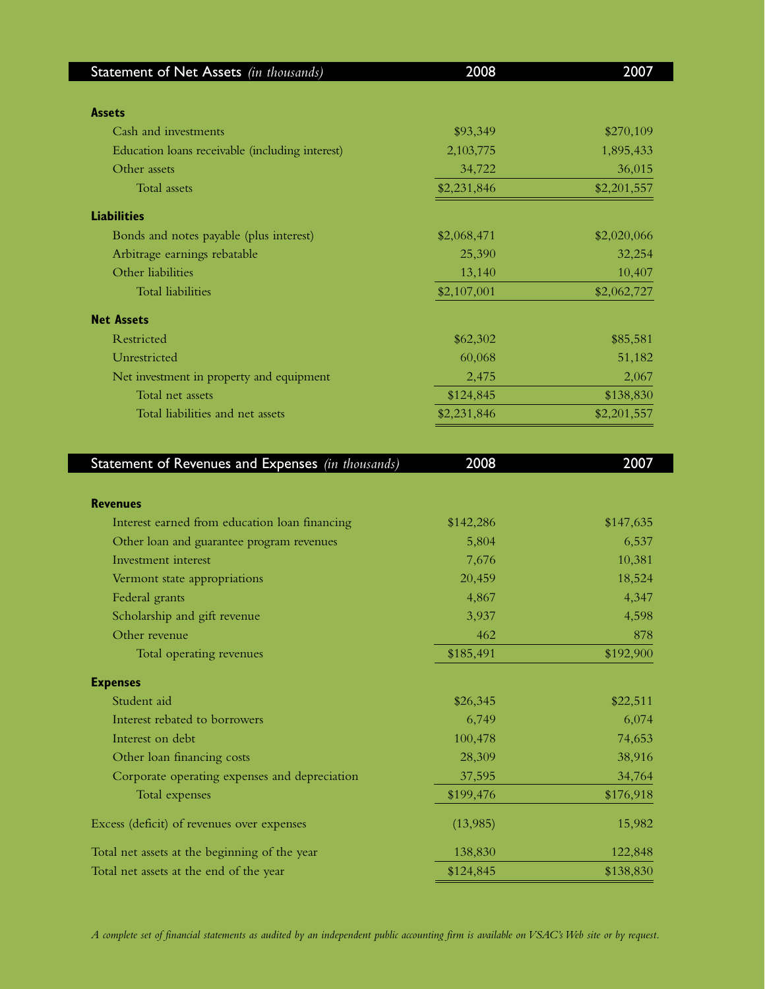| Statement of Net Assets (in thousands)            | 2008              | 2007              |
|---------------------------------------------------|-------------------|-------------------|
| <b>Assets</b>                                     |                   |                   |
| Cash and investments                              | \$93,349          | \$270,109         |
| Education loans receivable (including interest)   | 2,103,775         | 1,895,433         |
| Other assets                                      | 34,722            | 36,015            |
| Total assets                                      | \$2,231,846       | \$2,201,557       |
| <b>Liabilities</b>                                |                   |                   |
| Bonds and notes payable (plus interest)           | \$2,068,471       | \$2,020,066       |
| Arbitrage earnings rebatable                      | 25,390            | 32,254            |
| Other liabilities                                 | 13,140            | 10,407            |
| <b>Total liabilities</b>                          | \$2,107,001       | \$2,062,727       |
| <b>Net Assets</b>                                 |                   |                   |
| Restricted                                        | \$62,302          | \$85,581          |
| Unrestricted                                      | 60,068            | 51,182            |
| Net investment in property and equipment          | 2,475             | 2,067             |
| Total net assets                                  | \$124,845         | \$138,830         |
| Total liabilities and net assets                  | \$2,231,846       | \$2,201,557       |
|                                                   |                   |                   |
|                                                   |                   |                   |
|                                                   |                   |                   |
| Statement of Revenues and Expenses (in thousands) | 2008              | 2007              |
| <b>Revenues</b>                                   |                   |                   |
| Interest earned from education loan financing     | \$142,286         | \$147,635         |
| Other loan and guarantee program revenues         | 5,804             | 6,537             |
| Investment interest                               | 7,676             | 10,381            |
| Vermont state appropriations                      | 20,459            | 18,524            |
| Federal grants                                    | 4,867             | 4,347             |
| Scholarship and gift revenue                      | 3,937             | 4,598             |
| Other revenue                                     | 462               | 878               |
| Total operating revenues                          | \$185,491         | \$192,900         |
|                                                   |                   |                   |
| <b>Expenses</b><br>Student aid                    |                   |                   |
| Interest rebated to borrowers                     | \$26,345<br>6,749 | \$22,511<br>6,074 |
| Interest on debt                                  | 100,478           | 74,653            |
| Other loan financing costs                        | 28,309            | 38,916            |
| Corporate operating expenses and depreciation     | 37,595            | 34,764            |
| Total expenses                                    | \$199,476         | \$176,918         |
| Excess (deficit) of revenues over expenses        | (13,985)          | 15,982            |
| Total net assets at the beginning of the year     | 138,830           | 122,848           |

*A complete set of financial statements as audited by an independent public accounting firm is available on VSAC's Web site or by request.*